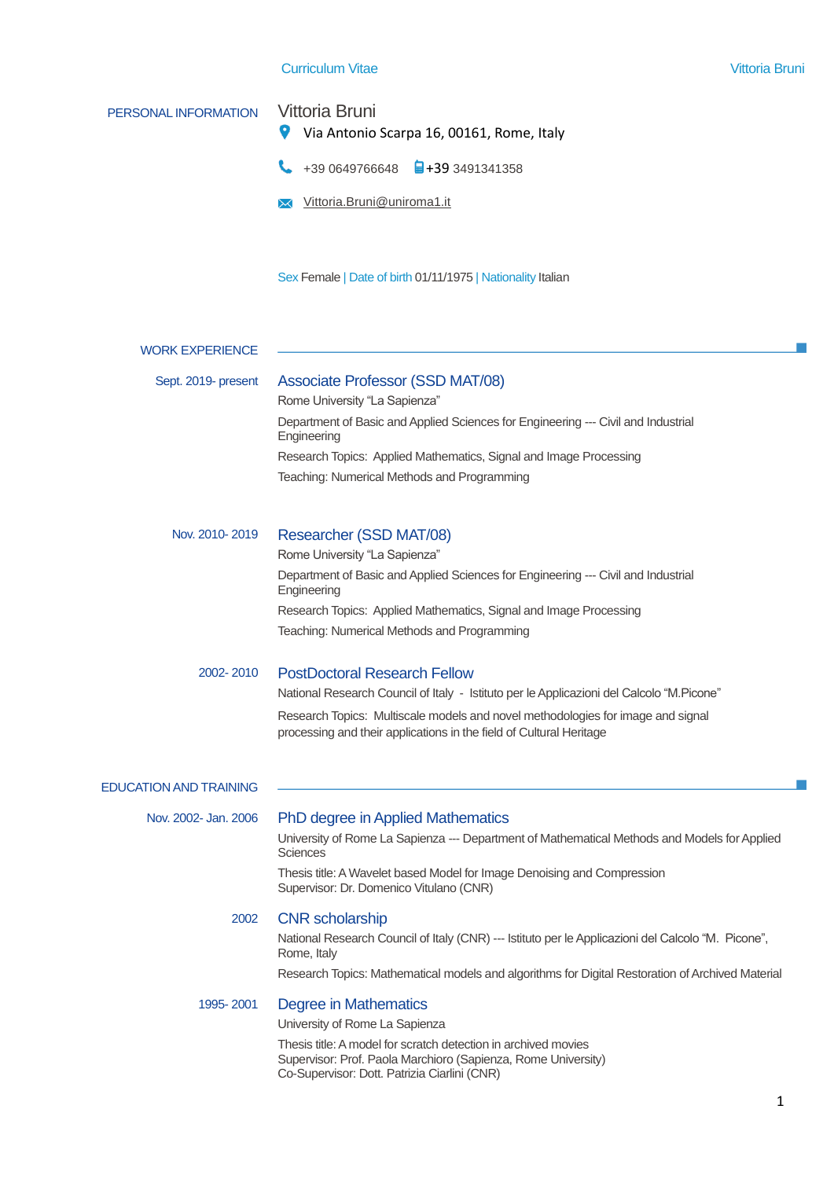# PERSONAL INFORMATION Vittoria Bruni  $\bullet$ Via Antonio Scarpa 16, 00161, Rome, Italy +39 0649766648 +39 3491341358 Vittoria.Bruni@uniroma1.it Sex Female | Date of birth 01/11/1975 | Nationality Italian WORK EXPERIENCE Sept. 2019- present Associate Professor (SSD MAT/08) Rome University "La Sapienza" Department of Basic and Applied Sciences for Engineering --- Civil and Industrial Engineering Research Topics: Applied Mathematics, Signal and Image Processing Teaching: Numerical Methods and Programming Nov. 2010- 2019 Researcher (SSD MAT/08) Rome University "La Sapienza" Department of Basic and Applied Sciences for Engineering --- Civil and Industrial Engineering Research Topics: Applied Mathematics, Signal and Image Processing Teaching: Numerical Methods and Programming 2002- 2010 PostDoctoral Research Fellow National Research Council of Italy - Istituto per le Applicazioni del Calcolo "M.Picone" Research Topics: Multiscale models and novel methodologies for image and signal processing and their applications in the field of Cultural Heritage EDUCATION AND TRAINING Nov. 2002- Jan. 2006 PhD degree in Applied Mathematics University of Rome La Sapienza --- Department of Mathematical Methods and Models for Applied **Sciences** Thesis title: A Wavelet based Model for Image Denoising and Compression Supervisor: Dr. Domenico Vitulano (CNR) 2002 CNR scholarship National Research Council of Italy (CNR) --- Istituto per le Applicazioni del Calcolo "M. Picone", Rome, Italy Research Topics: Mathematical models and algorithms for Digital Restoration of Archived Material 1995- 2001 Degree in Mathematics University of Rome La Sapienza Thesis title: A model for scratch detection in archived movies Supervisor: Prof. Paola Marchioro (Sapienza, Rome University) Co-Supervisor: Dott. Patrizia Ciarlini (CNR)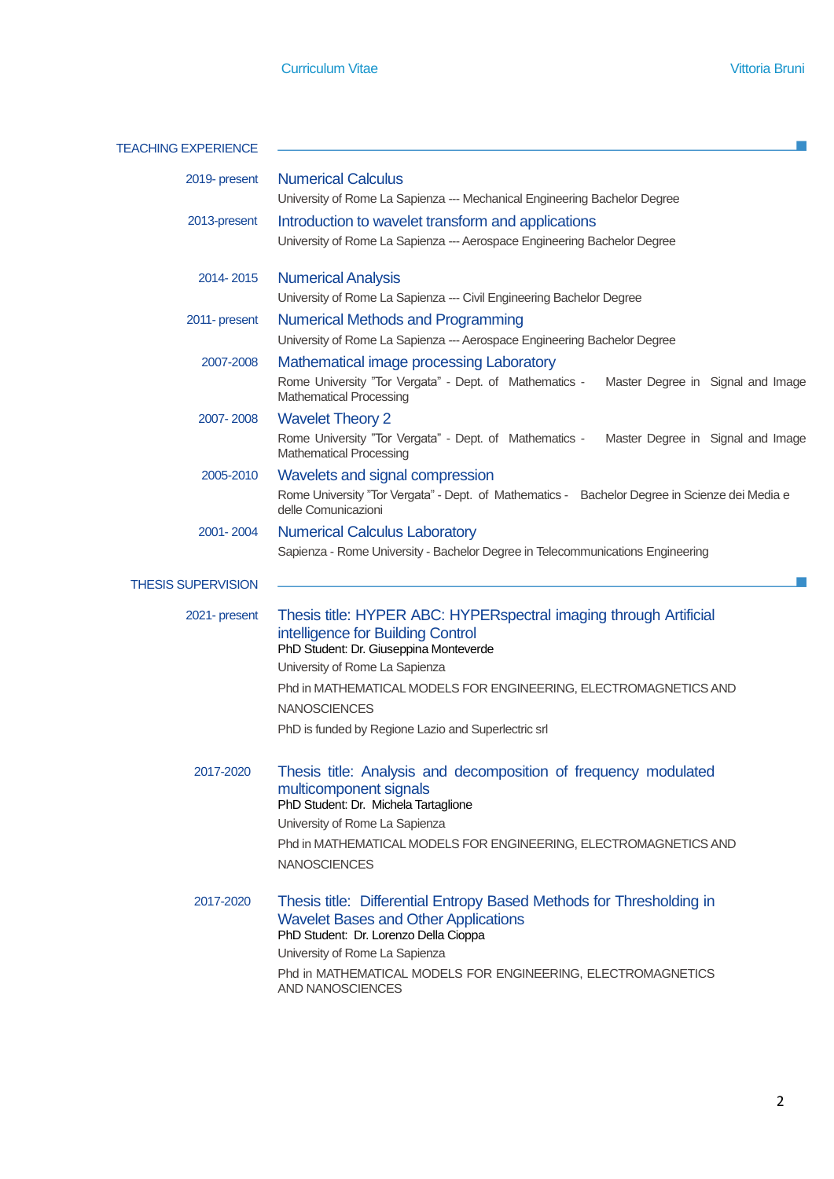$\mathcal{L}_{\mathcal{A}}$ 

# TEACHING EXPERIENCE **A CONSTRUCT OF A CONSTRUCT OF A CONSTRUCT OF A CONSTRUCT OF A CONSTRUCTION**

| 2019- present             | <b>Numerical Calculus</b><br>University of Rome La Sapienza --- Mechanical Engineering Bachelor Degree                                                                                                                                                                                                                               |  |  |  |
|---------------------------|--------------------------------------------------------------------------------------------------------------------------------------------------------------------------------------------------------------------------------------------------------------------------------------------------------------------------------------|--|--|--|
| 2013-present              | Introduction to wavelet transform and applications<br>University of Rome La Sapienza --- Aerospace Engineering Bachelor Degree                                                                                                                                                                                                       |  |  |  |
| 2014-2015                 | <b>Numerical Analysis</b><br>University of Rome La Sapienza --- Civil Engineering Bachelor Degree                                                                                                                                                                                                                                    |  |  |  |
| 2011- present             | <b>Numerical Methods and Programming</b><br>University of Rome La Sapienza --- Aerospace Engineering Bachelor Degree                                                                                                                                                                                                                 |  |  |  |
| 2007-2008                 | Mathematical image processing Laboratory<br>Rome University "Tor Vergata" - Dept. of Mathematics -<br>Master Degree in Signal and Image<br><b>Mathematical Processing</b>                                                                                                                                                            |  |  |  |
| 2007-2008                 | <b>Wavelet Theory 2</b><br>Rome University "Tor Vergata" - Dept. of Mathematics -<br>Master Degree in Signal and Image<br><b>Mathematical Processing</b>                                                                                                                                                                             |  |  |  |
| 2005-2010                 | Wavelets and signal compression<br>Rome University "Tor Vergata" - Dept. of Mathematics - Bachelor Degree in Scienze dei Media e<br>delle Comunicazioni                                                                                                                                                                              |  |  |  |
| 2001-2004                 | <b>Numerical Calculus Laboratory</b><br>Sapienza - Rome University - Bachelor Degree in Telecommunications Engineering                                                                                                                                                                                                               |  |  |  |
| <b>THESIS SUPERVISION</b> |                                                                                                                                                                                                                                                                                                                                      |  |  |  |
| 2021- present             | Thesis title: HYPER ABC: HYPERspectral imaging through Artificial<br>intelligence for Building Control<br>PhD Student: Dr. Giuseppina Monteverde<br>University of Rome La Sapienza<br>Phd in MATHEMATICAL MODELS FOR ENGINEERING, ELECTROMAGNETICS AND<br><b>NANOSCIENCES</b><br>PhD is funded by Regione Lazio and Superlectric srl |  |  |  |
| 2017-2020                 | Thesis title: Analysis and decomposition of frequency modulated<br>multicomponent signals<br>PhD Student: Dr. Michela Tartaglione<br>University of Rome La Sapienza<br>Phd in MATHEMATICAL MODELS FOR ENGINEERING, ELECTROMAGNETICS AND<br><b>NANOSCIENCES</b>                                                                       |  |  |  |
| 2017-2020                 | Thesis title: Differential Entropy Based Methods for Thresholding in<br><b>Wavelet Bases and Other Applications</b><br>PhD Student: Dr. Lorenzo Della Cioppa<br>University of Rome La Sapienza                                                                                                                                       |  |  |  |
|                           | Phd in MATHEMATICAL MODELS FOR ENGINEERING, ELECTROMAGNETICS<br>AND NANOSCIENCES                                                                                                                                                                                                                                                     |  |  |  |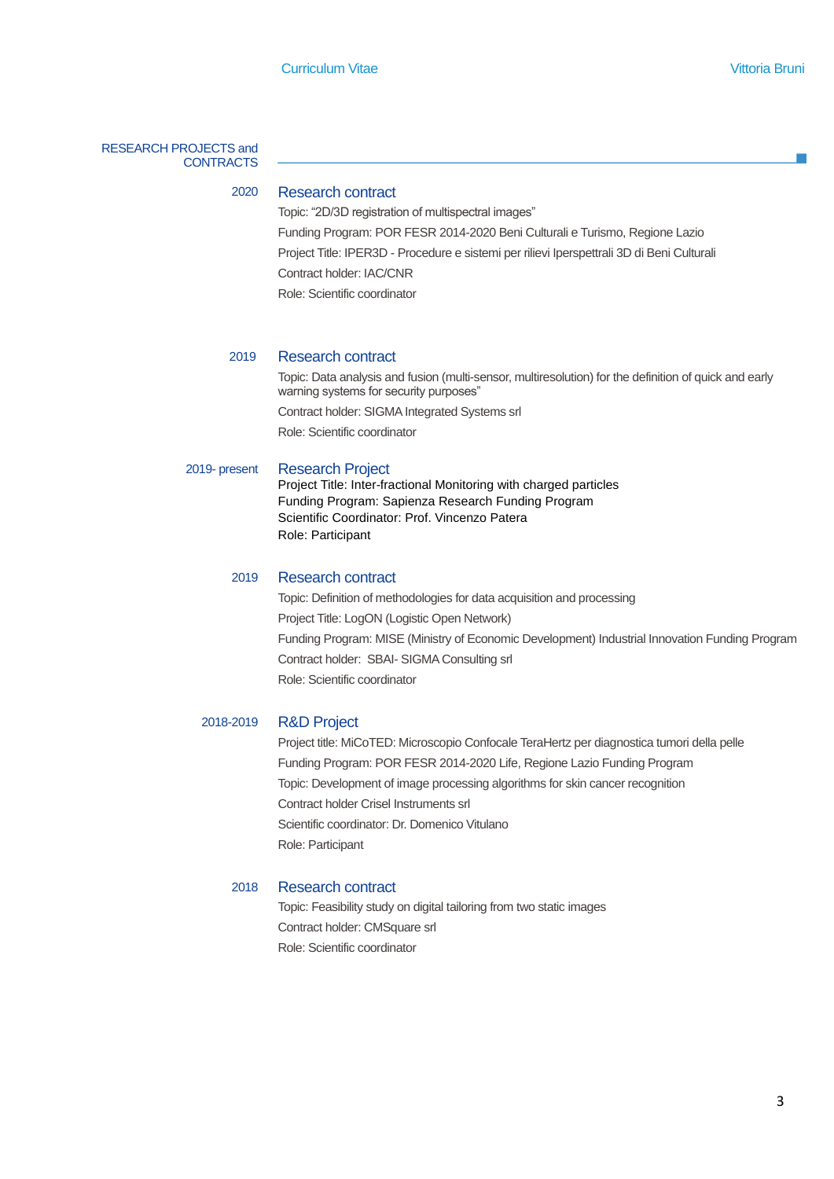#### RESEARCH PROJECTS and **CONTRACTS**

### 2020 Research contract

Topic: "2D/3D registration of multispectral images" Funding Program: POR FESR 2014-2020 Beni Culturali e Turismo, Regione Lazio Project Title: IPER3D - Procedure e sistemi per rilievi Iperspettrali 3D di Beni Culturali Contract holder: IAC/CNR Role: Scientific coordinator

#### 2019 Research contract

Topic: Data analysis and fusion (multi-sensor, multiresolution) for the definition of quick and early warning systems for security purposes"

Contract holder: SIGMA Integrated Systems srl

Role: Scientific coordinator

#### 2019- present Research Project

Project Title: Inter-fractional Monitoring with charged particles Funding Program: Sapienza Research Funding Program Scientific Coordinator: Prof. Vincenzo Patera Role: Participant

#### 2019 Research contract

Topic: Definition of methodologies for data acquisition and processing Project Title: LogON (Logistic Open Network) Funding Program: MISE (Ministry of Economic Development) Industrial Innovation Funding Program Contract holder: SBAI- SIGMA Consulting srl Role: Scientific coordinator

#### 2018-2019 R&D Project

Project title: MiCoTED: Microscopio Confocale TeraHertz per diagnostica tumori della pelle Funding Program: POR FESR 2014-2020 Life, Regione Lazio Funding Program Topic: Development of image processing algorithms for skin cancer recognition Contract holder Crisel Instruments srl Scientific coordinator: Dr. Domenico Vitulano Role: Participant

#### 2018 Research contract

Topic: Feasibility study on digital tailoring from two static images Contract holder: CMSquare srl Role: Scientific coordinator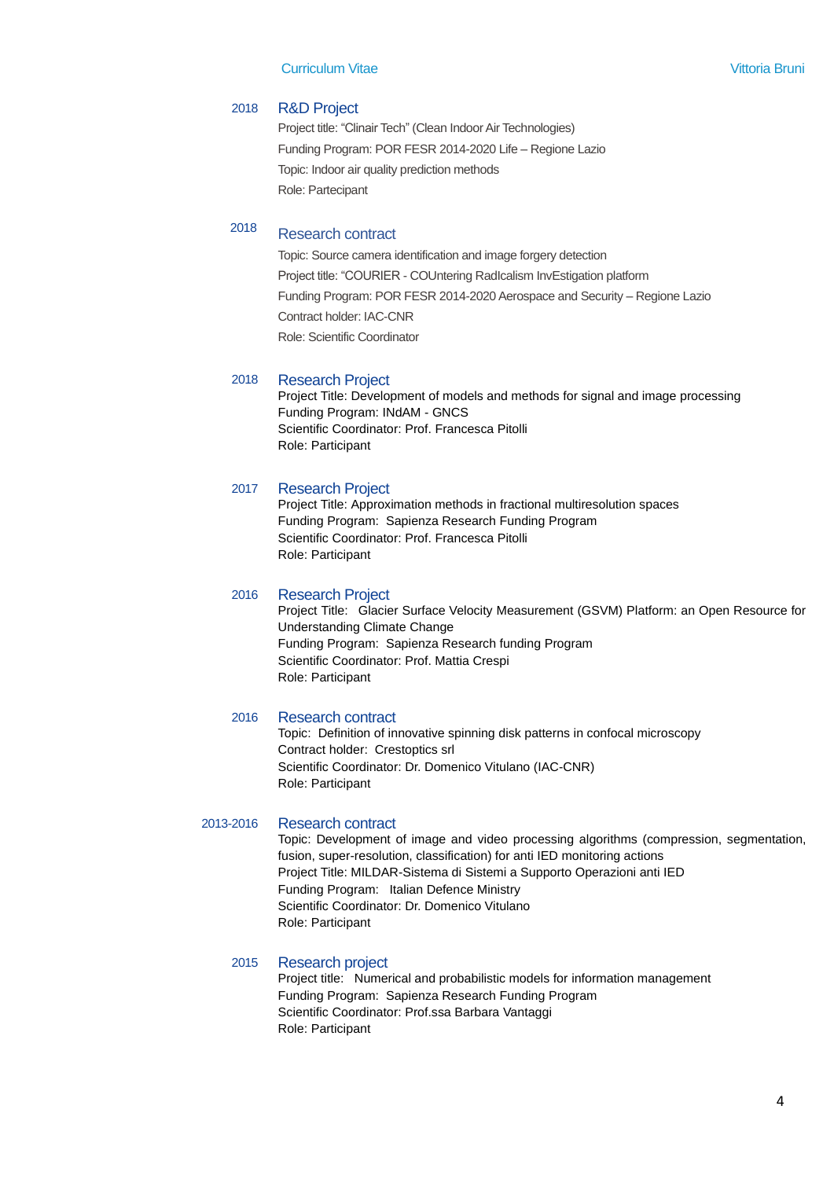#### 2018 R&D Project

Project title: "Clinair Tech" (Clean Indoor Air Technologies) Funding Program: POR FESR 2014-2020 Life – Regione Lazio Topic: Indoor air quality prediction methods Role: Partecipant

## <sup>2018</sup> Research contract

Topic: Source camera identification and image forgery detection Project title: "COURIER - COUntering RadIcalism InvEstigation platform Funding Program: POR FESR 2014-2020 Aerospace and Security – Regione Lazio Contract holder: IAC-CNR Role: Scientific Coordinator

#### 2018 Research Project

Project Title: Development of models and methods for signal and image processing Funding Program: INdAM - GNCS Scientific Coordinator: Prof. Francesca Pitolli Role: Participant

#### 2017 Research Project

Project Title: Approximation methods in fractional multiresolution spaces Funding Program: Sapienza Research Funding Program Scientific Coordinator: Prof. Francesca Pitolli Role: Participant

#### 2016 Research Project

Project Title: Glacier Surface Velocity Measurement (GSVM) Platform: an Open Resource for Understanding Climate Change Funding Program: Sapienza Research funding Program Scientific Coordinator: Prof. Mattia Crespi Role: Participant

#### 2016 Research contract

Topic: Definition of innovative spinning disk patterns in confocal microscopy Contract holder: Crestoptics srl Scientific Coordinator: Dr. Domenico Vitulano (IAC-CNR) Role: Participant

#### 2013-2016 Research contract

Topic: Development of image and video processing algorithms (compression, segmentation, fusion, super-resolution, classification) for anti IED monitoring actions Project Title: MILDAR-Sistema di Sistemi a Supporto Operazioni anti IED Funding Program: Italian Defence Ministry Scientific Coordinator: Dr. Domenico Vitulano Role: Participant

#### 2015 Research project

Project title: Numerical and probabilistic models for information management Funding Program: Sapienza Research Funding Program Scientific Coordinator: Prof.ssa Barbara Vantaggi Role: Participant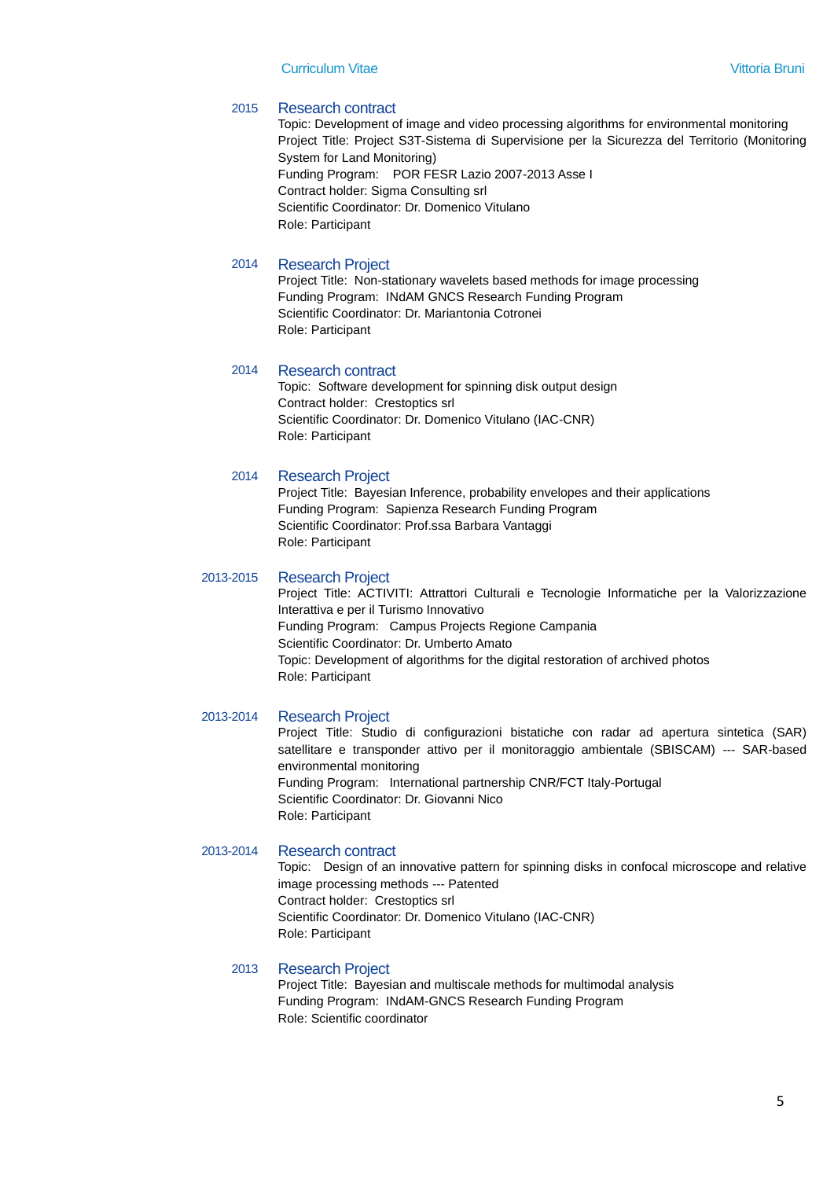#### 2015 Research contract

Topic: Development of image and video processing algorithms for environmental monitoring Project Title: Project S3T-Sistema di Supervisione per la Sicurezza del Territorio (Monitoring System for Land Monitoring) Funding Program: POR FESR Lazio 2007-2013 Asse I Contract holder: Sigma Consulting srl Scientific Coordinator: Dr. Domenico Vitulano Role: Participant

#### 2014 Research Project

Project Title: Non-stationary wavelets based methods for image processing Funding Program: INdAM GNCS Research Funding Program Scientific Coordinator: Dr. Mariantonia Cotronei Role: Participant

#### 2014 Research contract

Topic: Software development for spinning disk output design Contract holder: Crestoptics srl Scientific Coordinator: Dr. Domenico Vitulano (IAC-CNR) Role: Participant

#### 2014 Research Project

Project Title: Bayesian Inference, probability envelopes and their applications Funding Program: Sapienza Research Funding Program Scientific Coordinator: Prof.ssa Barbara Vantaggi Role: Participant

#### 2013-2015 Research Project

Project Title: ACTIVITI: Attrattori Culturali e Tecnologie Informatiche per la Valorizzazione Interattiva e per il Turismo Innovativo Funding Program: Campus Projects Regione Campania Scientific Coordinator: Dr. Umberto Amato Topic: Development of algorithms for the digital restoration of archived photos Role: Participant

#### 2013-2014 Research Project

Project Title: Studio di configurazioni bistatiche con radar ad apertura sintetica (SAR) satellitare e transponder attivo per il monitoraggio ambientale (SBISCAM) --- SAR-based environmental monitoring Funding Program: International partnership CNR/FCT Italy-Portugal Scientific Coordinator: Dr. Giovanni Nico Role: Participant

#### 2013-2014 Research contract

Topic: Design of an innovative pattern for spinning disks in confocal microscope and relative image processing methods --- Patented Contract holder: Crestoptics srl Scientific Coordinator: Dr. Domenico Vitulano (IAC-CNR) Role: Participant

#### 2013 Research Project

Project Title: Bayesian and multiscale methods for multimodal analysis Funding Program: INdAM-GNCS Research Funding Program Role: Scientific coordinator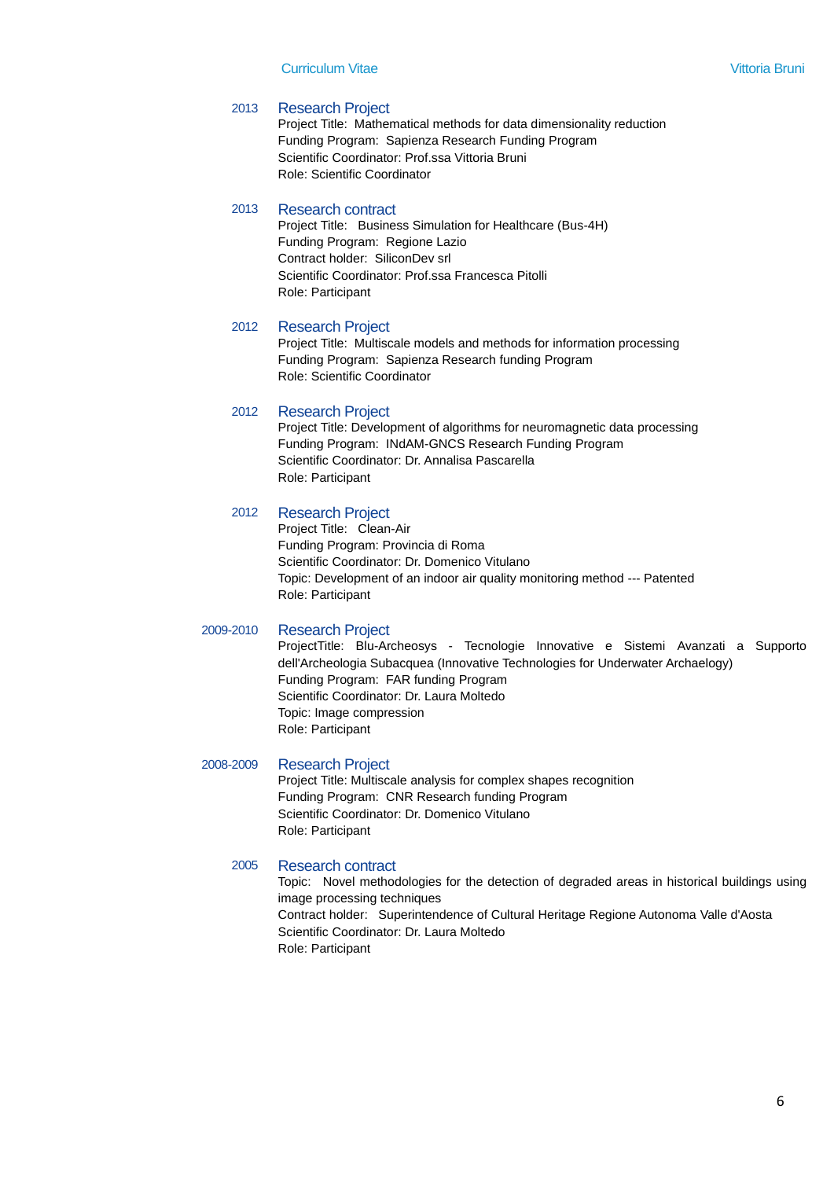#### 2013 Research Project

Project Title: Mathematical methods for data dimensionality reduction Funding Program: Sapienza Research Funding Program Scientific Coordinator: Prof.ssa Vittoria Bruni Role: Scientific Coordinator

#### 2013 Research contract

Project Title: Business Simulation for Healthcare (Bus-4H) Funding Program: Regione Lazio Contract holder: SiliconDev srl Scientific Coordinator: Prof.ssa Francesca Pitolli Role: Participant

#### 2012 Research Project

Project Title: Multiscale models and methods for information processing Funding Program: Sapienza Research funding Program Role: Scientific Coordinator

#### 2012 Research Project

Project Title: Development of algorithms for neuromagnetic data processing Funding Program: INdAM-GNCS Research Funding Program Scientific Coordinator: Dr. Annalisa Pascarella Role: Participant

#### 2012 Research Project

Project Title: Clean-Air Funding Program: Provincia di Roma Scientific Coordinator: Dr. Domenico Vitulano Topic: Development of an indoor air quality monitoring method --- Patented Role: Participant

#### 2009-2010 Research Project

ProjectTitle: Blu-Archeosys - Tecnologie Innovative e Sistemi Avanzati a Supporto dell'Archeologia Subacquea (Innovative Technologies for Underwater Archaelogy) Funding Program: FAR funding Program Scientific Coordinator: Dr. Laura Moltedo Topic: Image compression Role: Participant

#### 2008-2009 Research Project

Project Title: Multiscale analysis for complex shapes recognition Funding Program: CNR Research funding Program Scientific Coordinator: Dr. Domenico Vitulano Role: Participant

#### 2005 Research contract

Topic: Novel methodologies for the detection of degraded areas in historical buildings using image processing techniques Contract holder: Superintendence of Cultural Heritage Regione Autonoma Valle d'Aosta Scientific Coordinator: Dr. Laura Moltedo Role: Participant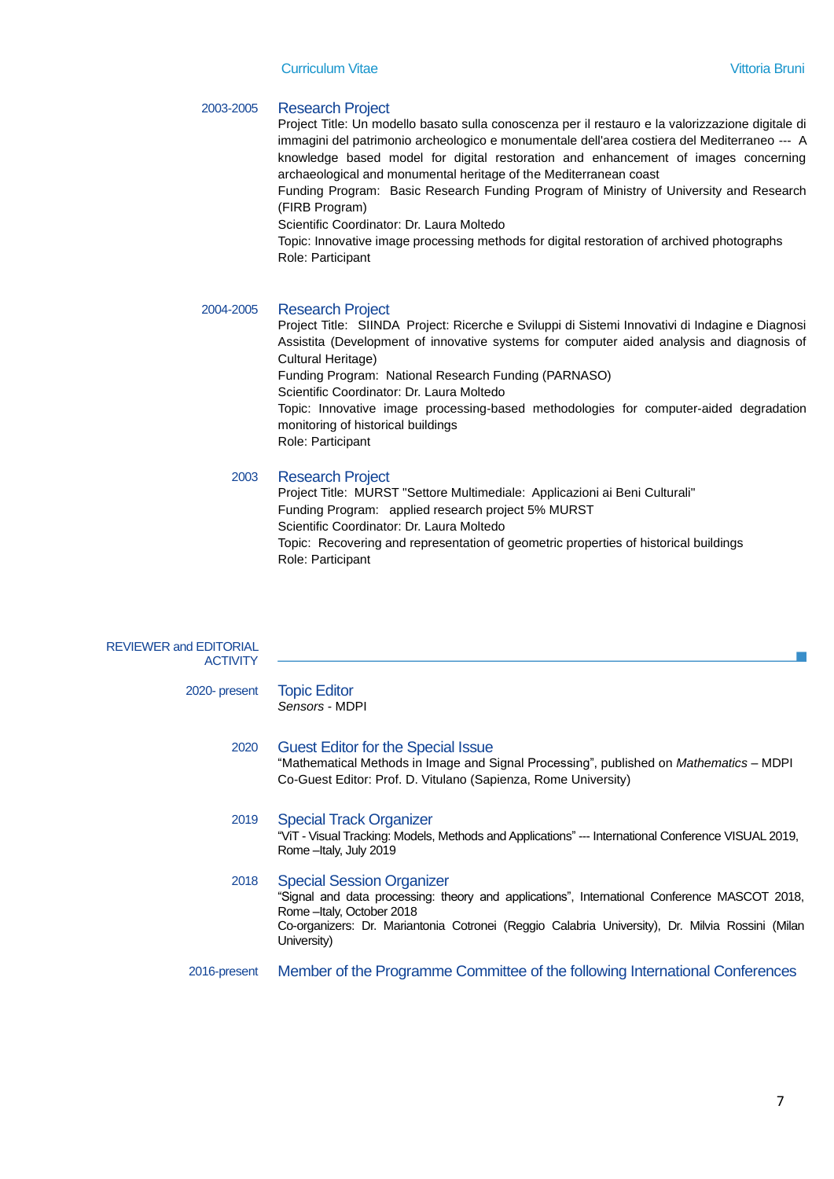#### 2003-2005 Research Project

Project Title: Un modello basato sulla conoscenza per il restauro e la valorizzazione digitale di immagini del patrimonio archeologico e monumentale dell'area costiera del Mediterraneo --- A knowledge based model for digital restoration and enhancement of images concerning archaeological and monumental heritage of the Mediterranean coast

Funding Program: Basic Research Funding Program of Ministry of University and Research (FIRB Program)

Scientific Coordinator: Dr. Laura Moltedo

Topic: Innovative image processing methods for digital restoration of archived photographs Role: Participant

#### 2004-2005 Research Project

Project Title: SIINDA Project: Ricerche e Sviluppi di Sistemi Innovativi di Indagine e Diagnosi Assistita (Development of innovative systems for computer aided analysis and diagnosis of Cultural Heritage) Funding Program: National Research Funding (PARNASO) Scientific Coordinator: Dr. Laura Moltedo Topic: Innovative image processing-based methodologies for computer-aided degradation monitoring of historical buildings Role: Participant

#### 2003 Research Project

Project Title: MURST "Settore Multimediale: Applicazioni ai Beni Culturali" Funding Program: applied research project 5% MURST Scientific Coordinator: Dr. Laura Moltedo Topic: Recovering and representation of geometric properties of historical buildings Role: Participant

| <b>REVIEWER and EDITORIAL</b><br><b>ACTIVITY</b> |                                                                                                                                                                                                                                                                                  |
|--------------------------------------------------|----------------------------------------------------------------------------------------------------------------------------------------------------------------------------------------------------------------------------------------------------------------------------------|
| 2020- present                                    | <b>Topic Editor</b><br>Sensors - MDPI                                                                                                                                                                                                                                            |
| 2020                                             | <b>Guest Editor for the Special Issue</b><br>"Mathematical Methods in Image and Signal Processing", published on <i>Mathematics</i> – MDPI<br>Co-Guest Editor: Prof. D. Vitulano (Sapienza, Rome University)                                                                     |
| 2019                                             | <b>Special Track Organizer</b><br>"ViT - Visual Tracking: Models, Methods and Applications" --- International Conference VISUAL 2019,<br>Rome - Italy, July 2019                                                                                                                 |
| 2018                                             | <b>Special Session Organizer</b><br>"Signal and data processing: theory and applications", International Conference MASCOT 2018,<br>Rome - Italy, October 2018<br>Co-organizers: Dr. Mariantonia Cotronei (Reggio Calabria University), Dr. Milvia Rossini (Milan<br>University) |
| 2016-present                                     | Member of the Programme Committee of the following International Conferences                                                                                                                                                                                                     |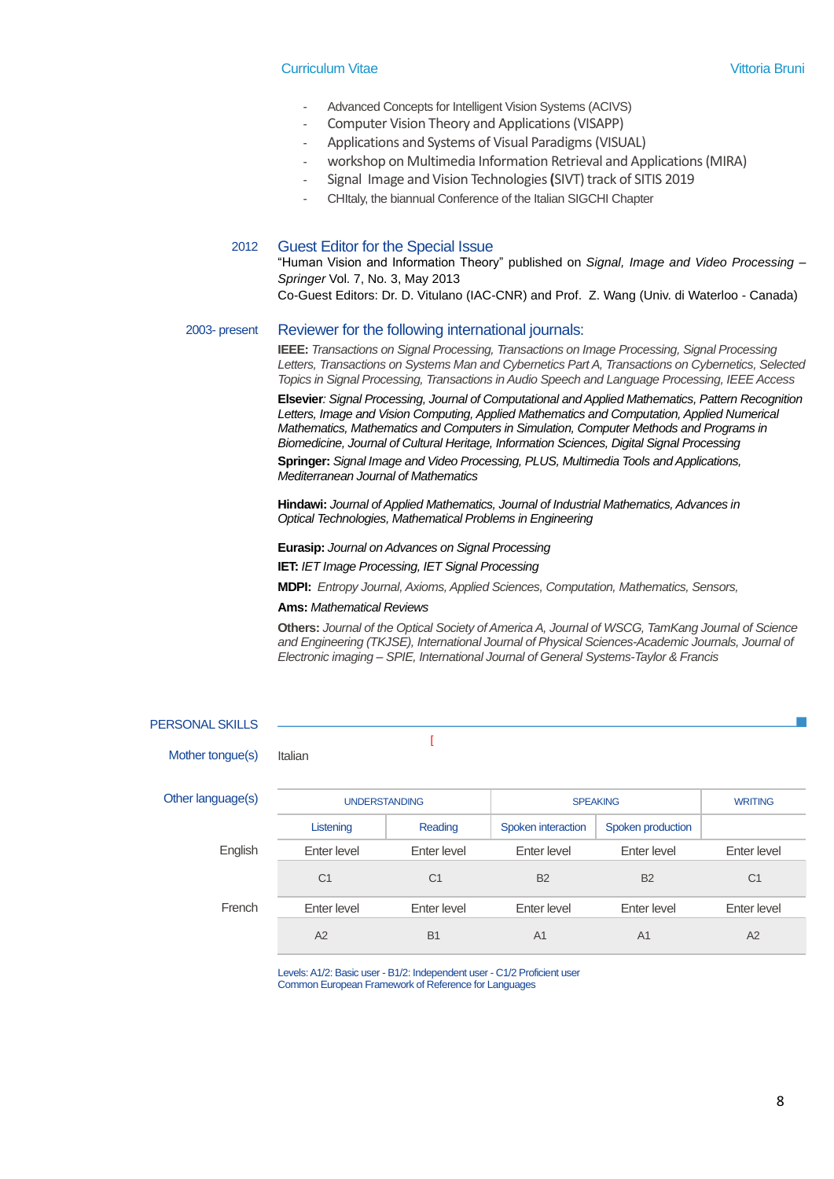- Advanced Concepts for Intelligent Vision Systems (ACIVS)
- Computer Vision Theory and Applications (VISAPP)
- Applications and Systems of Visual Paradigms(VISUAL)
- workshop on Multimedia Information Retrieval and Applications (MIRA)
- Signal Image and Vision Technologies**(**SIVT)track of SITIS 2019
- CHItaly, the biannual Conference of the Italian SIGCHI Chapter

#### 2012 Guest Editor for the Special Issue

"Human Vision and Information Theory" published on *Signal, Image and Video Processing – Springer* Vol. 7, No. 3, May 2013

Co-Guest Editors: Dr. D. Vitulano (IAC-CNR) and Prof. Z. Wang (Univ. di Waterloo - Canada)

#### 2003- present Reviewer for the following international journals:

**IEEE:** *Transactions on Signal Processing, Transactions on Image Processing, Signal Processing Letters, Transactions on Systems Man and Cybernetics Part A, Transactions on Cybernetics, Selected Topics in Signal Processing, Transactions in Audio Speech and Language Processing, IEEE Access*

**Elsevier***: Signal Processing, Journal of Computational and Applied Mathematics, Pattern Recognition*  Letters, Image and Vision Computing, Applied Mathematics and Computation, Applied Numerical *Mathematics, Mathematics and Computers in Simulation, Computer Methods and Programs in Biomedicine, Journal of Cultural Heritage, Information Sciences, Digital Signal Processing*

**Springer:** *Signal Image and Video Processing, PLUS, Multimedia Tools and Applications, Mediterranean Journal of Mathematics*

**Hindawi:** *Journal of Applied Mathematics, Journal of Industrial Mathematics, Advances in Optical Technologies, Mathematical Problems in Engineering*

**Eurasip:** *Journal on Advances on Signal Processing*

**IET:** *IET Image Processing, IET Signal Processing*

**MDPI:** *Entropy Journal, Axioms, Applied Sciences, Computation, Mathematics, Sensors,*

#### **Ams:** *Mathematical Reviews*

**Others:** *Journal of the Optical Society of America A, Journal of WSCG, TamKang Journal of Science and Engineering (TKJSE), International Journal of Physical Sciences-Academic Journals, Journal of Electronic imaging – SPIE, International Journal of General Systems-Taylor & Francis*

| <b>PERSONAL SKILLS</b> |                      |                |                    |                   |                |
|------------------------|----------------------|----------------|--------------------|-------------------|----------------|
| Mother tongue(s)       | Italian              |                |                    |                   |                |
| Other language(s)      | <b>UNDERSTANDING</b> |                | <b>SPEAKING</b>    |                   | <b>WRITING</b> |
|                        | Listening            | Reading        | Spoken interaction | Spoken production |                |
| English                | Enter level          | Enter level    | Enter level        | Enter level       | Enter level    |
|                        | C <sub>1</sub>       | C <sub>1</sub> | <b>B2</b>          | <b>B2</b>         | C <sub>1</sub> |
| French                 | Enter level          | Enter level    | Enter level        | Enter level       | Enter level    |
|                        | A2                   | <b>B1</b>      | A <sub>1</sub>     | A <sub>1</sub>    | A2             |

Levels: A1/2: Basic user - B1/2: Independent user - C1/2 Proficient user Common European Framework of Reference for Languages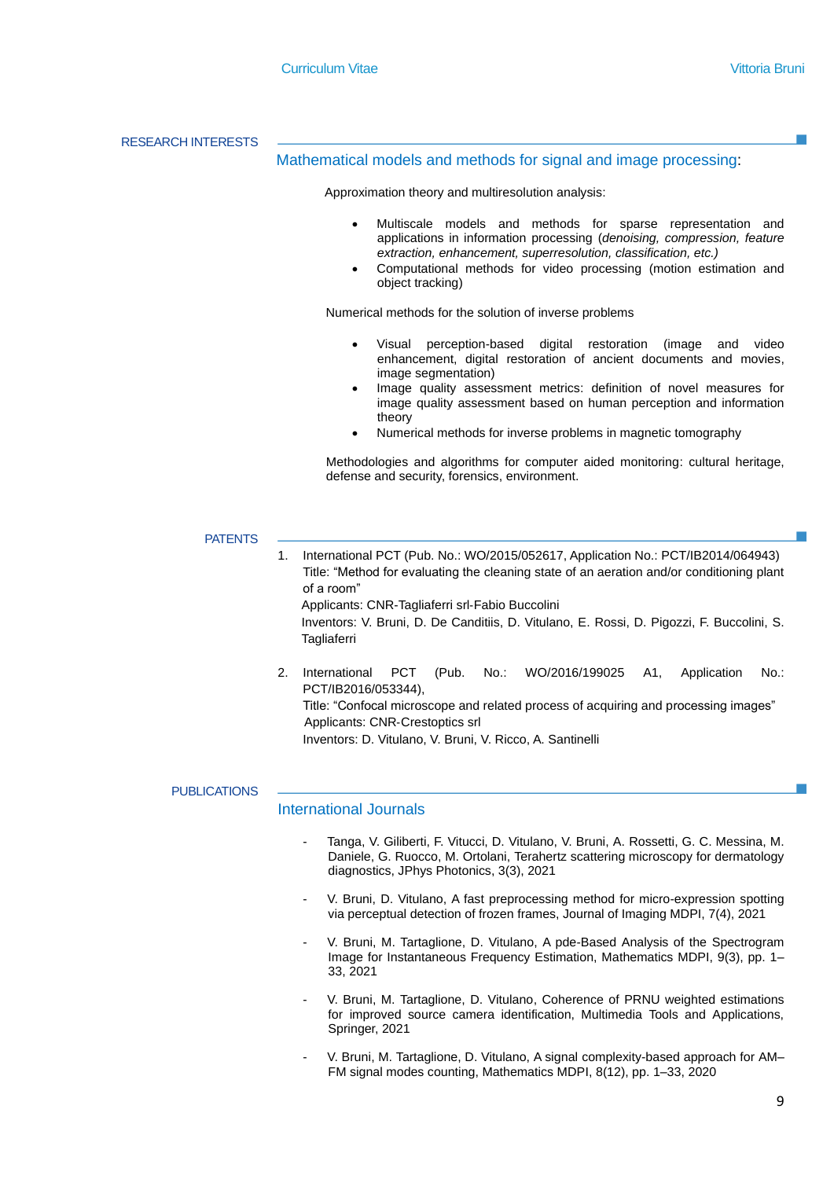RESEARCH INTERESTS

#### Mathematical models and methods for signal and image processing:

Approximation theory and multiresolution analysis:

- Multiscale models and methods for sparse representation and applications in information processing (*denoising, compression, feature extraction, enhancement, superresolution, classification, etc.)*
- Computational methods for video processing (motion estimation and object tracking)

Numerical methods for the solution of inverse problems

- Visual perception-based digital restoration (image and video enhancement, digital restoration of ancient documents and movies, image segmentation)
- Image quality assessment metrics: definition of novel measures for image quality assessment based on human perception and information theory
- Numerical methods for inverse problems in magnetic tomography

Methodologies and algorithms for computer aided monitoring: cultural heritage, defense and security, forensics, environment.

#### **PATENTS**

1. International PCT (Pub. No.: WO/2015/052617, Application No.: PCT/IB2014/064943) Title: "Method for evaluating the cleaning state of an aeration and/or conditioning plant of a room" Applicants: CNR-Tagliaferri srl‐Fabio Buccolini Inventors: V. Bruni, D. De Canditiis, D. Vitulano, E. Rossi, D. Pigozzi, F. Buccolini, S. **Tagliaferri** 

2. International PCT (Pub. No.: WO/2016/199025 A1, Application No.: PCT/IB2016/053344), Title: "Confocal microscope and related process of acquiring and processing images" Applicants: CNR‐Crestoptics srl Inventors: D. Vitulano, V. Bruni, V. Ricco, A. Santinelli

#### **PUBLICATIONS**

#### International Journals

- Tanga, V. Giliberti, F. Vitucci, D. Vitulano, V. Bruni, A. Rossetti, G. C. Messina, M. Daniele, G. Ruocco, M. Ortolani, Terahertz scattering microscopy for dermatology diagnostics, JPhys Photonics, 3(3), 2021
- V. Bruni, D. Vitulano, A fast preprocessing method for micro-expression spotting via perceptual detection of frozen frames, Journal of Imaging MDPI, 7(4), 2021
- V. Bruni, M. Tartaglione, D. Vitulano, A pde-Based Analysis of the Spectrogram Image for Instantaneous Frequency Estimation, Mathematics MDPI, 9(3), pp. 1– 33, 2021
- V. Bruni, M. Tartaglione, D. Vitulano, Coherence of PRNU weighted estimations for improved source camera identification, Multimedia Tools and Applications, Springer, 2021
- V. Bruni, M. Tartaglione, D. Vitulano, A signal complexity-based approach for AM– FM signal modes counting, Mathematics MDPI, 8(12), pp. 1–33, 2020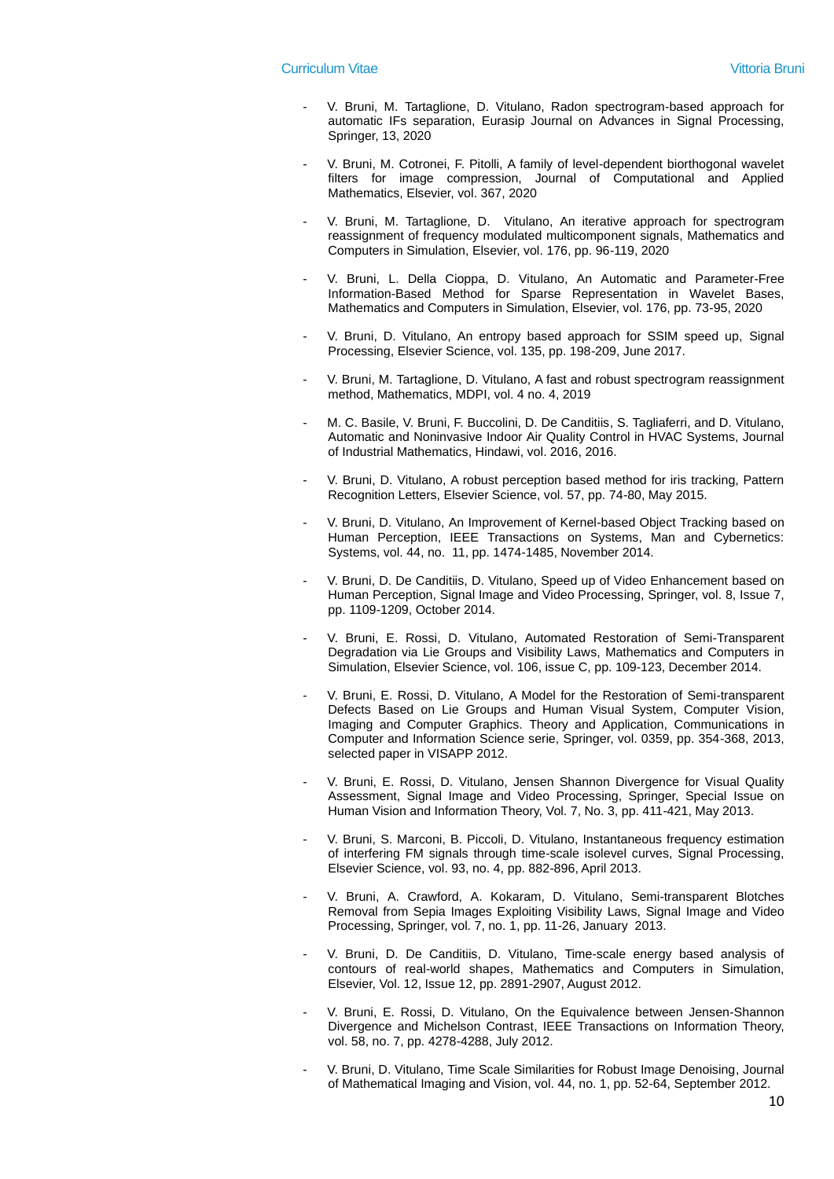- V. Bruni, M. Tartaglione, D. Vitulano, Radon spectrogram-based approach for automatic IFs separation, Eurasip Journal on Advances in Signal Processing, Springer, 13, 2020
- V. Bruni, M. Cotronei, F. Pitolli, A family of level-dependent biorthogonal wavelet filters for image compression, Journal of Computational and Applied Mathematics, Elsevier, vol. 367, 2020
- V. Bruni, M. Tartaglione, D. Vitulano, An iterative approach for spectrogram reassignment of frequency modulated multicomponent signals, Mathematics and Computers in Simulation, Elsevier, vol. 176, pp. 96-119, 2020
- V. Bruni, L. Della Cioppa, D. Vitulano, An Automatic and Parameter-Free Information-Based Method for Sparse Representation in Wavelet Bases, Mathematics and Computers in Simulation, Elsevier, vol. 176, pp. 73-95, 2020
- V. Bruni, D. Vitulano, An entropy based approach for SSIM speed up, Signal Processing, Elsevier Science, vol. 135, pp. 198-209, June 2017.
- V. Bruni, M. Tartaglione, D. Vitulano, A fast and robust spectrogram reassignment method, Mathematics, MDPI, vol. 4 no. 4, 2019
- M. C. Basile, V. Bruni, F. Buccolini, D. De Canditiis, S. Tagliaferri, and D. Vitulano, Automatic and Noninvasive Indoor Air Quality Control in HVAC Systems, Journal of Industrial Mathematics, Hindawi, vol. 2016, 2016.
- V. Bruni, D. Vitulano, A robust perception based method for iris tracking, Pattern Recognition Letters, Elsevier Science, vol. 57, pp. 74-80, May 2015.
- V. Bruni, D. Vitulano, An Improvement of Kernel-based Object Tracking based on Human Perception, IEEE Transactions on Systems, Man and Cybernetics: Systems, vol. 44, no. 11, pp. 1474-1485, November 2014.
- V. Bruni, D. De Canditiis, D. Vitulano, Speed up of Video Enhancement based on Human Perception, Signal Image and Video Processing, Springer, vol. 8, Issue 7, pp. 1109-1209, October 2014.
- V. Bruni, E. Rossi, D. Vitulano, Automated Restoration of Semi-Transparent Degradation via Lie Groups and Visibility Laws, Mathematics and Computers in Simulation, Elsevier Science, vol. 106, issue C, pp. 109-123, December 2014.
- V. Bruni, E. Rossi, D. Vitulano, A Model for the Restoration of Semi-transparent Defects Based on Lie Groups and Human Visual System, Computer Vision, Imaging and Computer Graphics. Theory and Application, Communications in Computer and Information Science serie, Springer, vol. 0359, pp. 354-368, 2013, selected paper in VISAPP 2012.
- V. Bruni, E. Rossi, D. Vitulano, Jensen Shannon Divergence for Visual Quality Assessment, Signal Image and Video Processing, Springer, Special Issue on Human Vision and Information Theory, Vol. 7, No. 3, pp. 411-421, May 2013.
- V. Bruni, S. Marconi, B. Piccoli, D. Vitulano, Instantaneous frequency estimation of interfering FM signals through time-scale isolevel curves, Signal Processing, Elsevier Science, vol. 93, no. 4, pp. 882-896, April 2013.
- V. Bruni, A. Crawford, A. Kokaram, D. Vitulano, Semi-transparent Blotches Removal from Sepia Images Exploiting Visibility Laws, Signal Image and Video Processing, Springer, vol. 7, no. 1, pp. 11-26, January 2013.
- V. Bruni, D. De Canditiis, D. Vitulano, Time-scale energy based analysis of contours of real-world shapes, Mathematics and Computers in Simulation, Elsevier, Vol. 12, Issue 12, pp. 2891-2907, August 2012.
- V. Bruni, E. Rossi, D. Vitulano, On the Equivalence between Jensen-Shannon Divergence and Michelson Contrast, IEEE Transactions on Information Theory, vol. 58, no. 7, pp. 4278-4288, July 2012.
- V. Bruni, D. Vitulano, Time Scale Similarities for Robust Image Denoising, Journal of Mathematical Imaging and Vision, vol. 44, no. 1, pp. 52-64, September 2012.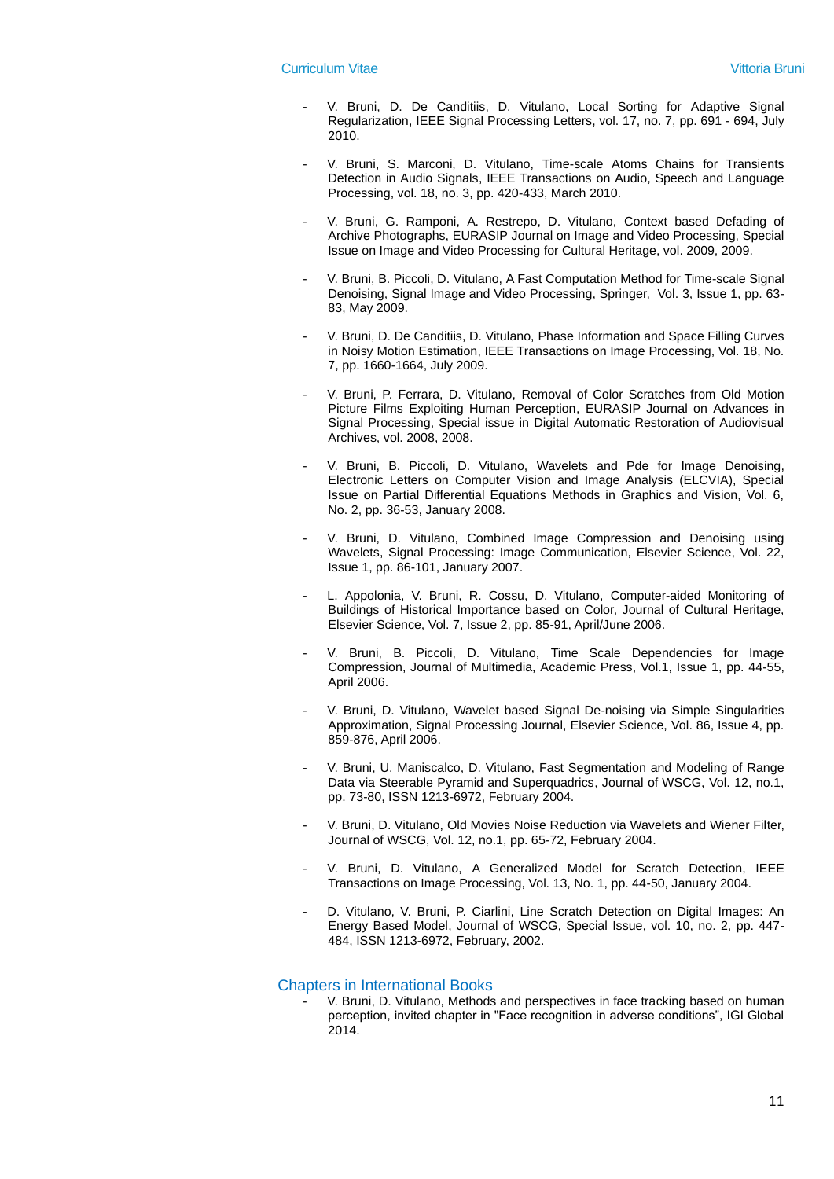- V. Bruni, D. De Canditiis, D. Vitulano, Local Sorting for Adaptive Signal Regularization, IEEE Signal Processing Letters, vol. 17, no. 7, pp. 691 - 694, July 2010.
- V. Bruni, S. Marconi, D. Vitulano, Time-scale Atoms Chains for Transients Detection in Audio Signals, IEEE Transactions on Audio, Speech and Language Processing, vol. 18, no. 3, pp. 420-433, March 2010.
- V. Bruni, G. Ramponi, A. Restrepo, D. Vitulano, Context based Defading of Archive Photographs, EURASIP Journal on Image and Video Processing, Special Issue on Image and Video Processing for Cultural Heritage, vol. 2009, 2009.
- V. Bruni, B. Piccoli, D. Vitulano, A Fast Computation Method for Time-scale Signal Denoising, Signal Image and Video Processing, Springer, Vol. 3, Issue 1, pp. 63- 83, May 2009.
- V. Bruni, D. De Canditiis, D. Vitulano, Phase Information and Space Filling Curves in Noisy Motion Estimation, IEEE Transactions on Image Processing, Vol. 18, No. 7, pp. 1660-1664, July 2009.
- V. Bruni, P. Ferrara, D. Vitulano, Removal of Color Scratches from Old Motion Picture Films Exploiting Human Perception, EURASIP Journal on Advances in Signal Processing, Special issue in Digital Automatic Restoration of Audiovisual Archives, vol. 2008, 2008.
- V. Bruni, B. Piccoli, D. Vitulano, Wavelets and Pde for Image Denoising, Electronic Letters on Computer Vision and Image Analysis (ELCVIA), Special Issue on Partial Differential Equations Methods in Graphics and Vision, Vol. 6, No. 2, pp. 36-53, January 2008.
- V. Bruni, D. Vitulano, Combined Image Compression and Denoising using Wavelets, Signal Processing: Image Communication, Elsevier Science, Vol. 22, Issue 1, pp. 86-101, January 2007.
- L. Appolonia, V. Bruni, R. Cossu, D. Vitulano, Computer-aided Monitoring of Buildings of Historical Importance based on Color, Journal of Cultural Heritage, Elsevier Science, Vol. 7, Issue 2, pp. 85-91, April/June 2006.
- V. Bruni, B. Piccoli, D. Vitulano, Time Scale Dependencies for Image Compression, Journal of Multimedia, Academic Press, Vol.1, Issue 1, pp. 44-55, April 2006.
- V. Bruni, D. Vitulano, Wavelet based Signal De-noising via Simple Singularities Approximation, Signal Processing Journal, Elsevier Science, Vol. 86, Issue 4, pp. 859-876, April 2006.
- V. Bruni, U. Maniscalco, D. Vitulano, Fast Segmentation and Modeling of Range Data via Steerable Pyramid and Superquadrics, Journal of WSCG, Vol. 12, no.1, pp. 73-80, ISSN 1213-6972, February 2004.
- V. Bruni, D. Vitulano, Old Movies Noise Reduction via Wavelets and Wiener Filter, Journal of WSCG, Vol. 12, no.1, pp. 65-72, February 2004.
- V. Bruni, D. Vitulano, A Generalized Model for Scratch Detection, IEEE Transactions on Image Processing, Vol. 13, No. 1, pp. 44-50, January 2004.
- D. Vitulano, V. Bruni, P. Ciarlini, Line Scratch Detection on Digital Images: An Energy Based Model, Journal of WSCG, Special Issue, vol. 10, no. 2, pp. 447- 484, ISSN 1213-6972, February, 2002.

#### Chapters in International Books

V. Bruni, D. Vitulano, Methods and perspectives in face tracking based on human perception, invited chapter in "Face recognition in adverse conditions", IGI Global 2014.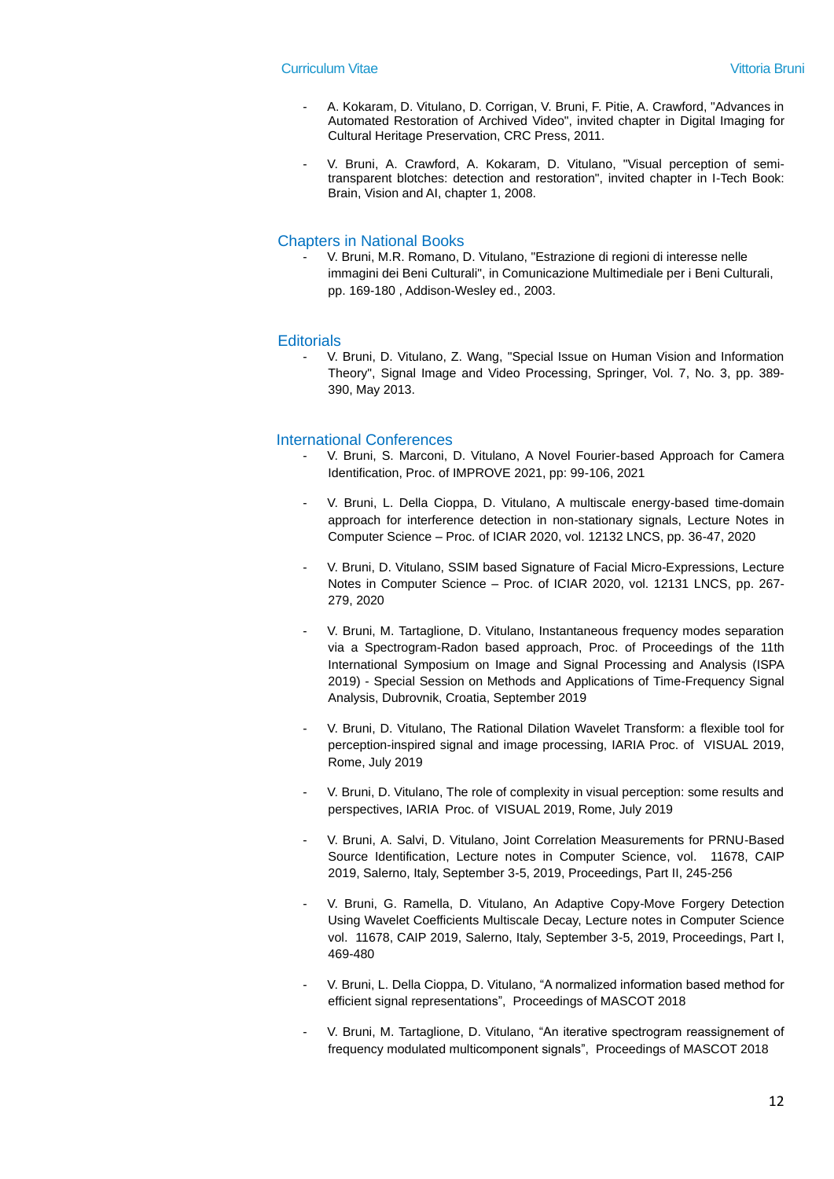- A. Kokaram, D. Vitulano, D. Corrigan, V. Bruni, F. Pitie, A. Crawford, "Advances in Automated Restoration of Archived Video", invited chapter in Digital Imaging for Cultural Heritage Preservation, CRC Press, 2011.
- V. Bruni, A. Crawford, A. Kokaram, D. Vitulano, "Visual perception of semitransparent blotches: detection and restoration", invited chapter in I-Tech Book: Brain, Vision and AI, chapter 1, 2008.

#### Chapters in National Books

- V. Bruni, M.R. Romano, D. Vitulano, "Estrazione di regioni di interesse nelle immagini dei Beni Culturali", in Comunicazione Multimediale per i Beni Culturali, pp. 169-180 , Addison-Wesley ed., 2003.

### **Editorials**

- V. Bruni, D. Vitulano, Z. Wang, "Special Issue on Human Vision and Information Theory", Signal Image and Video Processing, Springer, Vol. 7, No. 3, pp. 389- 390, May 2013.

#### International Conferences

- V. Bruni, S. Marconi, D. Vitulano, A Novel Fourier-based Approach for Camera Identification, Proc. of IMPROVE 2021, pp: 99-106, 2021
- V. Bruni, L. Della Cioppa, D. Vitulano, A multiscale energy-based time-domain approach for interference detection in non-stationary signals, Lecture Notes in Computer Science – Proc. of ICIAR 2020, vol. 12132 LNCS, pp. 36-47, 2020
- V. Bruni, D. Vitulano, SSIM based Signature of Facial Micro-Expressions, Lecture Notes in Computer Science – Proc. of ICIAR 2020, vol. 12131 LNCS, pp. 267- 279, 2020
- V. Bruni, M. Tartaglione, D. Vitulano, Instantaneous frequency modes separation via a Spectrogram-Radon based approach, Proc. of Proceedings of the 11th International Symposium on Image and Signal Processing and Analysis (ISPA 2019) - Special Session on Methods and Applications of Time-Frequency Signal Analysis, Dubrovnik, Croatia, September 2019
- V. Bruni, D. Vitulano, The Rational Dilation Wavelet Transform: a flexible tool for perception-inspired signal and image processing, IARIA Proc. of VISUAL 2019, Rome, July 2019
- V. Bruni, D. Vitulano, The role of complexity in visual perception: some results and perspectives, IARIA Proc. of VISUAL 2019, Rome, July 2019
- V. Bruni, A. Salvi, D. Vitulano, Joint Correlation Measurements for PRNU-Based Source Identification, Lecture notes in Computer Science, vol. 11678, CAIP 2019, Salerno, Italy, September 3-5, 2019, Proceedings, Part II, 245-256
- V. Bruni, G. Ramella, D. Vitulano, An Adaptive Copy-Move Forgery Detection Using Wavelet Coefficients Multiscale Decay, Lecture notes in Computer Science vol. 11678, CAIP 2019, Salerno, Italy, September 3-5, 2019, Proceedings, Part I, 469-480
- V. Bruni, L. Della Cioppa, D. Vitulano, "A normalized information based method for efficient signal representations", Proceedings of MASCOT 2018
- V. Bruni, M. Tartaglione, D. Vitulano, "An iterative spectrogram reassignement of frequency modulated multicomponent signals", Proceedings of MASCOT 2018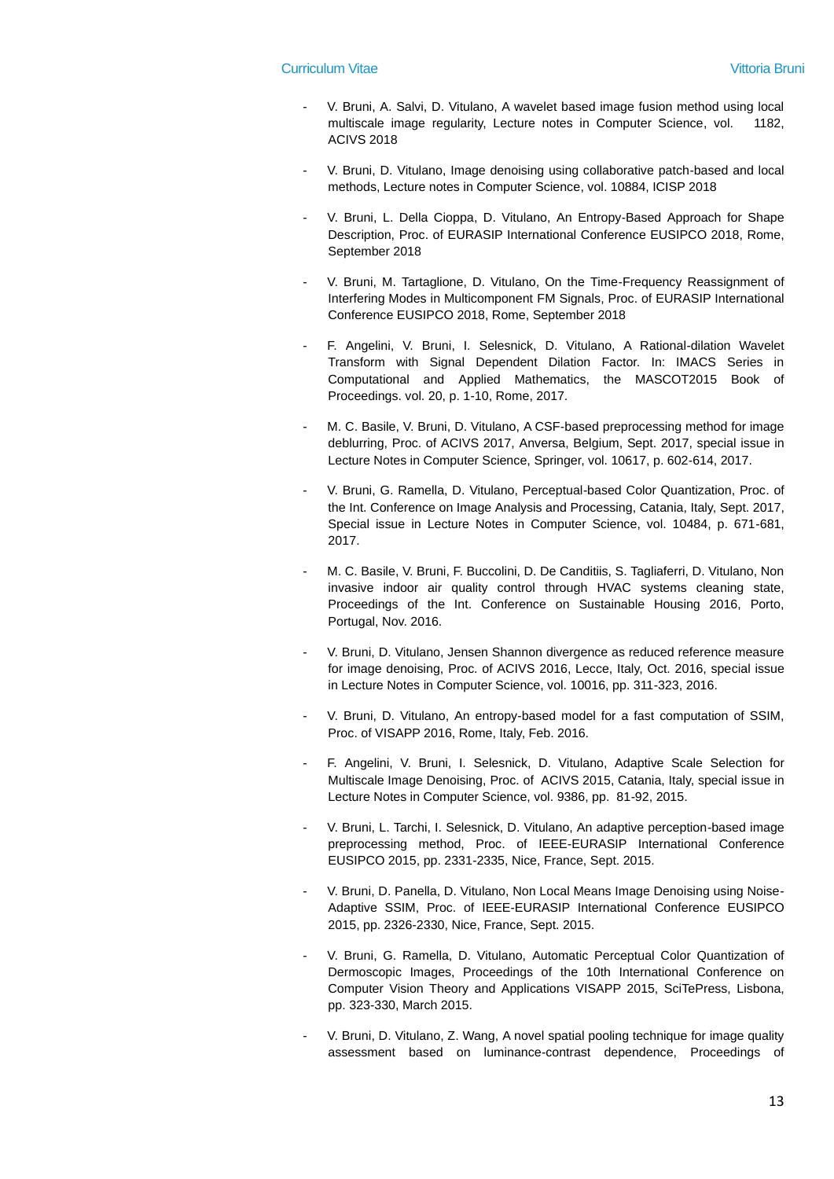- V. Bruni, A. Salvi, D. Vitulano, A wavelet based image fusion method using local multiscale image regularity, Lecture notes in Computer Science, vol. 1182, ACIVS 2018
- V. Bruni, D. Vitulano, Image denoising using collaborative patch-based and local methods, Lecture notes in Computer Science, vol. 10884, ICISP 2018
- V. Bruni, L. Della Cioppa, D. Vitulano, An Entropy-Based Approach for Shape Description, Proc. of EURASIP International Conference EUSIPCO 2018, Rome, September 2018
- V. Bruni, M. Tartaglione, D. Vitulano, On the Time-Frequency Reassignment of Interfering Modes in Multicomponent FM Signals, Proc. of EURASIP International Conference EUSIPCO 2018, Rome, September 2018
- F. Angelini, V. Bruni, I. Selesnick, D. Vitulano, A Rational-dilation Wavelet Transform with Signal Dependent Dilation Factor. In: IMACS Series in Computational and Applied Mathematics, the MASCOT2015 Book of Proceedings. vol. 20, p. 1-10, Rome, 2017.
- M. C. Basile, V. Bruni, D. Vitulano, A CSF-based preprocessing method for image deblurring, Proc. of ACIVS 2017, Anversa, Belgium, Sept. 2017, special issue in Lecture Notes in Computer Science, Springer, vol. 10617, p. 602-614, 2017.
- V. Bruni, G. Ramella, D. Vitulano, Perceptual-based Color Quantization, Proc. of the Int. Conference on Image Analysis and Processing, Catania, Italy, Sept. 2017, Special issue in Lecture Notes in Computer Science, vol. 10484, p. 671-681, 2017.
- M. C. Basile, V. Bruni, F. Buccolini, D. De Canditiis, S. Tagliaferri, D. Vitulano, Non invasive indoor air quality control through HVAC systems cleaning state, Proceedings of the Int. Conference on Sustainable Housing 2016, Porto, Portugal, Nov. 2016.
- V. Bruni, D. Vitulano, Jensen Shannon divergence as reduced reference measure for image denoising, Proc. of ACIVS 2016, Lecce, Italy, Oct. 2016, special issue in Lecture Notes in Computer Science, vol. 10016, pp. 311-323, 2016.
- V. Bruni, D. Vitulano, An entropy-based model for a fast computation of SSIM. Proc. of VISAPP 2016, Rome, Italy, Feb. 2016.
- F. Angelini, V. Bruni, I. Selesnick, D. Vitulano, Adaptive Scale Selection for Multiscale Image Denoising, Proc. of ACIVS 2015, Catania, Italy, special issue in Lecture Notes in Computer Science, vol. 9386, pp. 81-92, 2015.
- V. Bruni, L. Tarchi, I. Selesnick, D. Vitulano, An adaptive perception-based image preprocessing method, Proc. of IEEE-EURASIP International Conference EUSIPCO 2015, pp. 2331-2335, Nice, France, Sept. 2015.
- V. Bruni, D. Panella, D. Vitulano, Non Local Means Image Denoising using Noise-Adaptive SSIM, Proc. of IEEE-EURASIP International Conference EUSIPCO 2015, pp. 2326-2330, Nice, France, Sept. 2015.
- V. Bruni, G. Ramella, D. Vitulano, Automatic Perceptual Color Quantization of Dermoscopic Images, Proceedings of the 10th International Conference on Computer Vision Theory and Applications VISAPP 2015, SciTePress, Lisbona, pp. 323-330, March 2015.
- V. Bruni, D. Vitulano, Z. Wang, A novel spatial pooling technique for image quality assessment based on luminance-contrast dependence, Proceedings of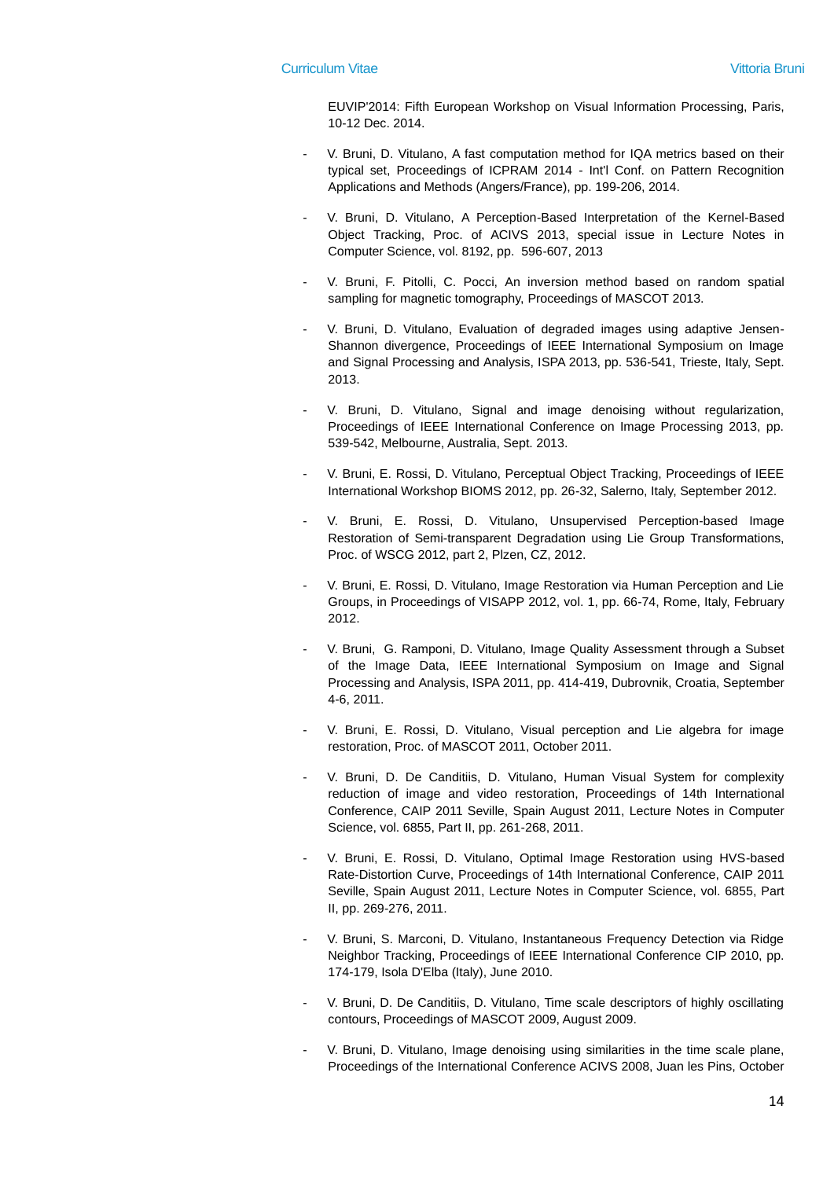EUVIP'2014: Fifth European Workshop on Visual Information Processing, Paris, 10-12 Dec. 2014.

- V. Bruni, D. Vitulano, A fast computation method for IQA metrics based on their typical set, Proceedings of ICPRAM 2014 - Int'l Conf. on Pattern Recognition Applications and Methods (Angers/France), pp. 199-206, 2014.
- V. Bruni, D. Vitulano, A Perception-Based Interpretation of the Kernel-Based Object Tracking, Proc. of ACIVS 2013, special issue in Lecture Notes in Computer Science, vol. 8192, pp. 596-607, 2013
- V. Bruni, F. Pitolli, C. Pocci, An inversion method based on random spatial sampling for magnetic tomography, Proceedings of MASCOT 2013.
- V. Bruni, D. Vitulano, Evaluation of degraded images using adaptive Jensen-Shannon divergence, Proceedings of IEEE International Symposium on Image and Signal Processing and Analysis, ISPA 2013, pp. 536-541, Trieste, Italy, Sept. 2013.
- V. Bruni, D. Vitulano, Signal and image denoising without regularization, Proceedings of IEEE International Conference on Image Processing 2013, pp. 539-542, Melbourne, Australia, Sept. 2013.
- V. Bruni, E. Rossi, D. Vitulano, Perceptual Object Tracking, Proceedings of IEEE International Workshop BIOMS 2012, pp. 26-32, Salerno, Italy, September 2012.
- V. Bruni, E. Rossi, D. Vitulano, Unsupervised Perception-based Image Restoration of Semi-transparent Degradation using Lie Group Transformations, Proc. of WSCG 2012, part 2, Plzen, CZ, 2012.
- V. Bruni, E. Rossi, D. Vitulano, Image Restoration via Human Perception and Lie Groups, in Proceedings of VISAPP 2012, vol. 1, pp. 66-74, Rome, Italy, February 2012.
- V. Bruni, G. Ramponi, D. Vitulano, Image Quality Assessment through a Subset of the Image Data, IEEE International Symposium on Image and Signal Processing and Analysis, ISPA 2011, pp. 414-419, Dubrovnik, Croatia, September 4-6, 2011.
- V. Bruni, E. Rossi, D. Vitulano, Visual perception and Lie algebra for image restoration, Proc. of MASCOT 2011, October 2011.
- V. Bruni, D. De Canditiis, D. Vitulano, Human Visual System for complexity reduction of image and video restoration, Proceedings of 14th International Conference, CAIP 2011 Seville, Spain August 2011, Lecture Notes in Computer Science, vol. 6855, Part II, pp. 261-268, 2011.
- V. Bruni, E. Rossi, D. Vitulano, Optimal Image Restoration using HVS-based Rate-Distortion Curve, Proceedings of 14th International Conference, CAIP 2011 Seville, Spain August 2011, Lecture Notes in Computer Science, vol. 6855, Part II, pp. 269-276, 2011.
- V. Bruni, S. Marconi, D. Vitulano, Instantaneous Frequency Detection via Ridge Neighbor Tracking, Proceedings of IEEE International Conference CIP 2010, pp. 174-179, Isola D'Elba (Italy), June 2010.
- V. Bruni, D. De Canditiis, D. Vitulano, Time scale descriptors of highly oscillating contours, Proceedings of MASCOT 2009, August 2009.
- V. Bruni, D. Vitulano, Image denoising using similarities in the time scale plane, Proceedings of the International Conference ACIVS 2008, Juan les Pins, October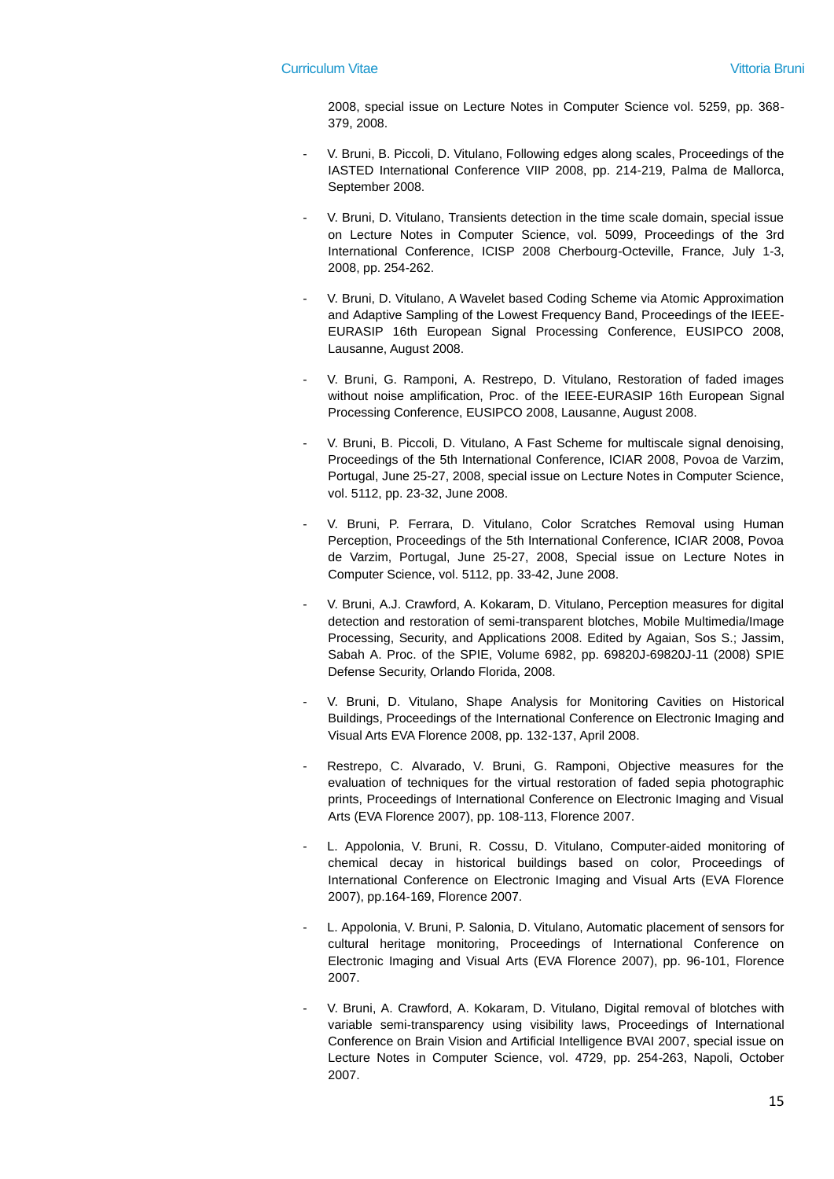2008, special issue on Lecture Notes in Computer Science vol. 5259, pp. 368- 379, 2008.

- V. Bruni, B. Piccoli, D. Vitulano, Following edges along scales, Proceedings of the IASTED International Conference VIIP 2008, pp. 214-219, Palma de Mallorca, September 2008.
- V. Bruni, D. Vitulano, Transients detection in the time scale domain, special issue on Lecture Notes in Computer Science, vol. 5099, Proceedings of the 3rd International Conference, ICISP 2008 Cherbourg-Octeville, France, July 1-3, 2008, pp. 254-262.
- V. Bruni, D. Vitulano, A Wavelet based Coding Scheme via Atomic Approximation and Adaptive Sampling of the Lowest Frequency Band, Proceedings of the IEEE-EURASIP 16th European Signal Processing Conference, EUSIPCO 2008, Lausanne, August 2008.
- V. Bruni, G. Ramponi, A. Restrepo, D. Vitulano, Restoration of faded images without noise amplification. Proc. of the IEEE-EURASIP 16th European Signal Processing Conference, EUSIPCO 2008, Lausanne, August 2008.
- V. Bruni, B. Piccoli, D. Vitulano, A Fast Scheme for multiscale signal denoising, Proceedings of the 5th International Conference, ICIAR 2008, Povoa de Varzim, Portugal, June 25-27, 2008, special issue on Lecture Notes in Computer Science, vol. 5112, pp. 23-32, June 2008.
- V. Bruni, P. Ferrara, D. Vitulano, Color Scratches Removal using Human Perception, Proceedings of the 5th International Conference, ICIAR 2008, Povoa de Varzim, Portugal, June 25-27, 2008, Special issue on Lecture Notes in Computer Science, vol. 5112, pp. 33-42, June 2008.
- V. Bruni, A.J. Crawford, A. Kokaram, D. Vitulano, Perception measures for digital detection and restoration of semi-transparent blotches, Mobile Multimedia/Image Processing, Security, and Applications 2008. Edited by Agaian, Sos S.; Jassim, Sabah A. Proc. of the SPIE, Volume 6982, pp. 69820J-69820J-11 (2008) SPIE Defense Security, Orlando Florida, 2008.
- V. Bruni, D. Vitulano, Shape Analysis for Monitoring Cavities on Historical Buildings, Proceedings of the International Conference on Electronic Imaging and Visual Arts EVA Florence 2008, pp. 132-137, April 2008.
- Restrepo, C. Alvarado, V. Bruni, G. Ramponi, Objective measures for the evaluation of techniques for the virtual restoration of faded sepia photographic prints, Proceedings of International Conference on Electronic Imaging and Visual Arts (EVA Florence 2007), pp. 108-113, Florence 2007.
- L. Appolonia, V. Bruni, R. Cossu, D. Vitulano, Computer-aided monitoring of chemical decay in historical buildings based on color, Proceedings of International Conference on Electronic Imaging and Visual Arts (EVA Florence 2007), pp.164-169, Florence 2007.
- L. Appolonia, V. Bruni, P. Salonia, D. Vitulano, Automatic placement of sensors for cultural heritage monitoring, Proceedings of International Conference on Electronic Imaging and Visual Arts (EVA Florence 2007), pp. 96-101, Florence 2007.
- V. Bruni, A. Crawford, A. Kokaram, D. Vitulano, Digital removal of blotches with variable semi-transparency using visibility laws, Proceedings of International Conference on Brain Vision and Artificial Intelligence BVAI 2007, special issue on Lecture Notes in Computer Science, vol. 4729, pp. 254-263, Napoli, October 2007.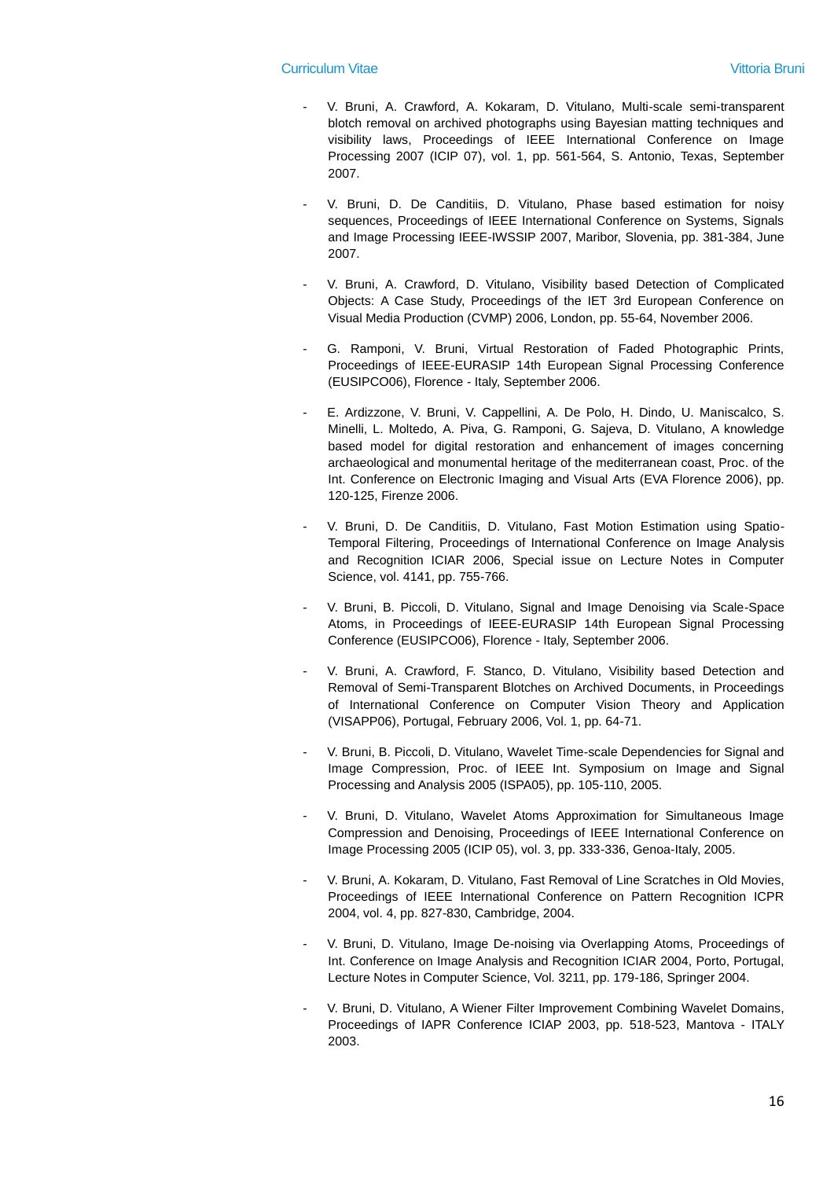- V. Bruni, A. Crawford, A. Kokaram, D. Vitulano, Multi-scale semi-transparent blotch removal on archived photographs using Bayesian matting techniques and visibility laws, Proceedings of IEEE International Conference on Image Processing 2007 (ICIP 07), vol. 1, pp. 561-564, S. Antonio, Texas, September 2007.
- V. Bruni, D. De Canditiis, D. Vitulano, Phase based estimation for noisy sequences, Proceedings of IEEE International Conference on Systems, Signals and Image Processing IEEE-IWSSIP 2007, Maribor, Slovenia, pp. 381-384, June 2007.
- V. Bruni, A. Crawford, D. Vitulano, Visibility based Detection of Complicated Objects: A Case Study, Proceedings of the IET 3rd European Conference on Visual Media Production (CVMP) 2006, London, pp. 55-64, November 2006.
- G. Ramponi, V. Bruni, Virtual Restoration of Faded Photographic Prints, Proceedings of IEEE-EURASIP 14th European Signal Processing Conference (EUSIPCO06), Florence - Italy, September 2006.
- E. Ardizzone, V. Bruni, V. Cappellini, A. De Polo, H. Dindo, U. Maniscalco, S. Minelli, L. Moltedo, A. Piva, G. Ramponi, G. Sajeva, D. Vitulano, A knowledge based model for digital restoration and enhancement of images concerning archaeological and monumental heritage of the mediterranean coast, Proc. of the Int. Conference on Electronic Imaging and Visual Arts (EVA Florence 2006), pp. 120-125, Firenze 2006.
- V. Bruni, D. De Canditiis, D. Vitulano, Fast Motion Estimation using Spatio-Temporal Filtering, Proceedings of International Conference on Image Analysis and Recognition ICIAR 2006, Special issue on Lecture Notes in Computer Science, vol. 4141, pp. 755-766.
- V. Bruni, B. Piccoli, D. Vitulano, Signal and Image Denoising via Scale-Space Atoms, in Proceedings of IEEE-EURASIP 14th European Signal Processing Conference (EUSIPCO06), Florence - Italy, September 2006.
- V. Bruni, A. Crawford, F. Stanco, D. Vitulano, Visibility based Detection and Removal of Semi-Transparent Blotches on Archived Documents, in Proceedings of International Conference on Computer Vision Theory and Application (VISAPP06), Portugal, February 2006, Vol. 1, pp. 64-71.
- V. Bruni, B. Piccoli, D. Vitulano, Wavelet Time-scale Dependencies for Signal and Image Compression, Proc. of IEEE Int. Symposium on Image and Signal Processing and Analysis 2005 (ISPA05), pp. 105-110, 2005.
- V. Bruni, D. Vitulano, Wavelet Atoms Approximation for Simultaneous Image Compression and Denoising, Proceedings of IEEE International Conference on Image Processing 2005 (ICIP 05), vol. 3, pp. 333-336, Genoa-Italy, 2005.
- V. Bruni, A. Kokaram, D. Vitulano, Fast Removal of Line Scratches in Old Movies, Proceedings of IEEE International Conference on Pattern Recognition ICPR 2004, vol. 4, pp. 827-830, Cambridge, 2004.
- V. Bruni, D. Vitulano, Image De-noising via Overlapping Atoms, Proceedings of Int. Conference on Image Analysis and Recognition ICIAR 2004, Porto, Portugal, Lecture Notes in Computer Science, Vol. 3211, pp. 179-186, Springer 2004.
- V. Bruni, D. Vitulano, A Wiener Filter Improvement Combining Wavelet Domains, Proceedings of IAPR Conference ICIAP 2003, pp. 518-523, Mantova - ITALY 2003.